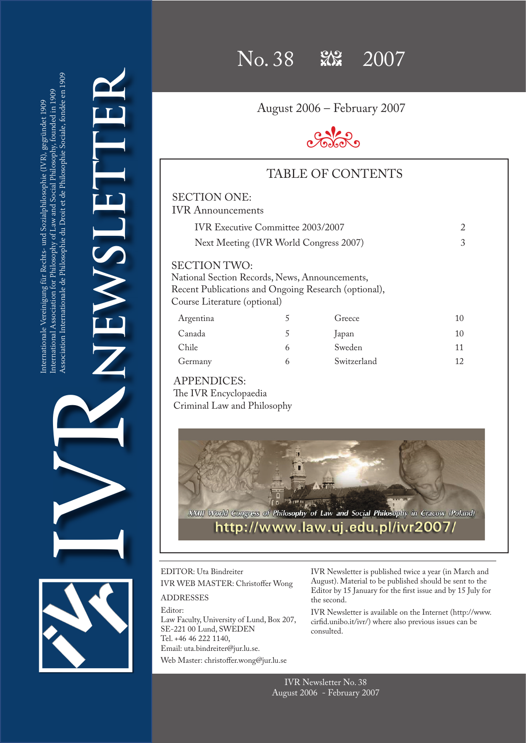

IVR

# $\overline{\text{No. 38}}$   $\frac{90}{100}$  2007

August 2006 – February 2007



# TABLE OF CONTENTS

| <b>SECTION ONE:</b><br><b>IVR</b> Announcements                                                                                                               |   |             |    |
|---------------------------------------------------------------------------------------------------------------------------------------------------------------|---|-------------|----|
| <b>IVR</b> Executive Committee 2003/2007                                                                                                                      |   |             | 2  |
| Next Meeting (IVR World Congress 2007)                                                                                                                        |   |             | 3  |
| <b>SECTION TWO:</b><br>National Section Records, News, Announcements,<br>Recent Publications and Ongoing Research (optional),<br>Course Literature (optional) |   |             |    |
| Argentina                                                                                                                                                     | 5 | Greece      | 10 |
| Canada                                                                                                                                                        | 5 | Japan       | 10 |
| Chile                                                                                                                                                         | 6 | Sweden      | 11 |
| Germany                                                                                                                                                       | 6 | Switzerland | 12 |

# APPENDICES:

The IVR Encyclopaedia Criminal Law and Philosophy



EDITOR: Uta Bindreiter IVR WEB MASTER: Christoffer Wong

# ADDRESSES

Editor: Law Faculty, University of Lund, Box 207, SE-221 00 Lund, SWEDEN Tel. +46 46 222 1140, Email: uta.bindreiter@jur.lu.se. Web Master: christoffer.wong@jur.lu.se

IVR Newsletter is published twice a year (in March and August). Material to be published should be sent to the Editor by 15 January for the first issue and by 15 July for the second.

IVR Newsletter is available on the Internet (http://www. cirfid.unibo.it/ivr/) where also previous issues can be consulted.

IVR Newsletter No. 38 August 2006 - February 2007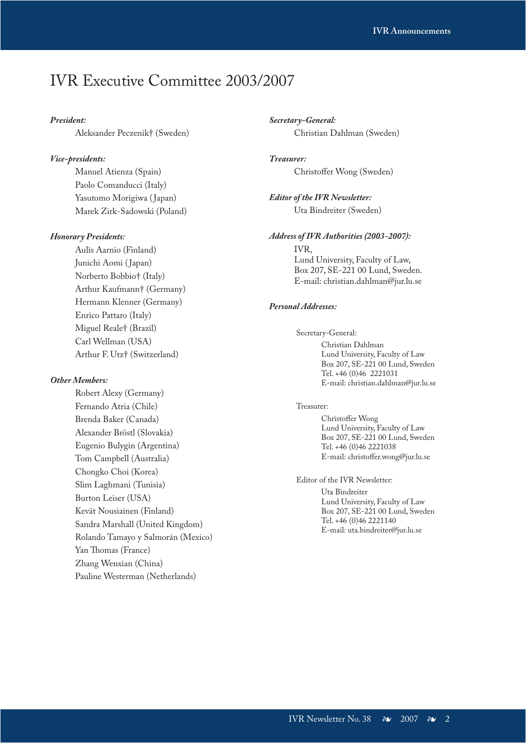# IVR Executive Committee 2003/2007

#### *President:*

Aleksander Peczenik† (Sweden)

#### *Vice-presidents:*

Manuel Atienza (Spain) Paolo Comanducci (Italy) Yasutomo Morigiwa (Japan) Marek Zirk-Sadowski (Poland)

#### *Honorary Presidents:*

Aulis Aarnio (Finland) Junichi Aomi (Japan) Norberto Bobbio† (Italy) Arthur Kaufmann† (Germany) Hermann Klenner (Germany) Enrico Pattaro (Italy) Miguel Reale† (Brazil) Carl Wellman (USA) Arthur F. Utz† (Switzerland)

#### *Other Members:*

Robert Alexy (Germany) Fernando Atria (Chile) Brenda Baker (Canada) Alexander Bröstl (Slovakia) Eugenio Bulygin (Argentina) Tom Campbell (Australia) Chongko Choi (Korea) Slim Laghmani (Tunisia) Burton Leiser (USA) Kevät Nousiainen (Finland) Sandra Marshall (United Kingdom) Rolando Tamayo y Salmorán (Mexico) Yan Thomas (France) Zhang Wenxian (China) Pauline Westerman (Netherlands)

*Secretary-General:* Christian Dahlman (Sweden)

## *Treasurer:*  Christoffer Wong (Sweden)

*Editor of the IVR Newsletter:*  Uta Bindreiter (Sweden)

#### *Address of IVR Authorities (2003-2007):*

#### IVR,

Lund University, Faculty of Law, Box 207, SE-221 00 Lund, Sweden. E-mail: christian.dahlman@jur.lu.se

#### *Personal Addresses:*

Secretary-General:

Christian Dahlman Lund University, Faculty of Law Box 207, SE-221 00 Lund, Sweden Tel. +46 (0)46 2221031 E-mail: christian.dahlman@jur.lu.se

#### Treasurer:

Christoffer Wong Lund University, Faculty of Law Box 207, SE-221 00 Lund, Sweden Tel. +46 (0)46 2221038 E-mail: christoffer.wong@jur.lu.se

Editor of the IVR Newsletter: Uta Bindreiter Lund University, Faculty of Law Box 207, SE-221 00 Lund, Sweden

Tel. +46 (0)46 2221140 E-mail: uta.bindreiter@jur.lu.se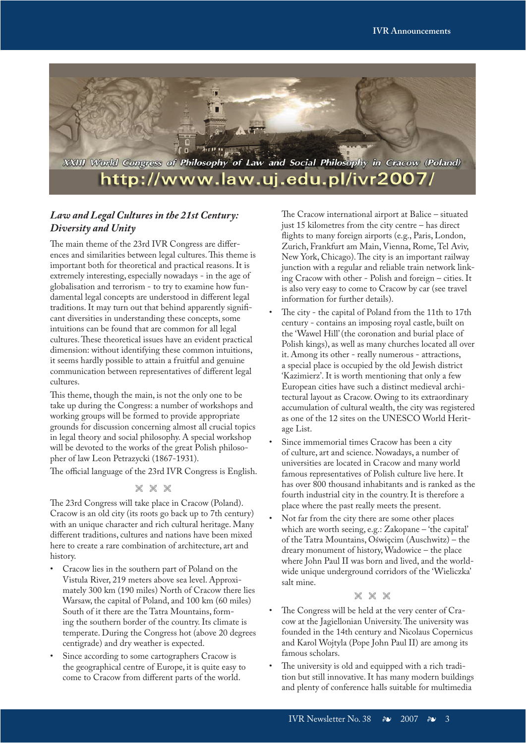

http://www.law.uj.edu.pl/ivr2007/

# *Law and Legal Cultures in the 21st Century: Diversity and Unity*

The main theme of the 23rd IVR Congress are differences and similarities between legal cultures. This theme is important both for theoretical and practical reasons. It is extremely interesting, especially nowadays - in the age of globalisation and terrorism - to try to examine how fundamental legal concepts are understood in different legal traditions. It may turn out that behind apparently significant diversities in understanding these concepts, some intuitions can be found that are common for all legal cultures. These theoretical issues have an evident practical dimension: without identifying these common intuitions, it seems hardly possible to attain a fruitful and genuine communication between representatives of different legal cultures.

This theme, though the main, is not the only one to be take up during the Congress: a number of workshops and working groups will be formed to provide appropriate grounds for discussion concerning almost all crucial topics in legal theory and social philosophy. A special workshop will be devoted to the works of the great Polish philosopher of law Leon Petrazycki (1867-1931).

The official language of the 23rd IVR Congress is English.

#### $X X X$

The 23rd Congress will take place in Cracow (Poland). Cracow is an old city (its roots go back up to 7th century) with an unique character and rich cultural heritage. Many different traditions, cultures and nations have been mixed here to create a rare combination of architecture, art and history.

- Cracow lies in the southern part of Poland on the Vistula River, 219 meters above sea level. Approximately 300 km (190 miles) North of Cracow there lies Warsaw, the capital of Poland, and 100 km (60 miles) South of it there are the Tatra Mountains, forming the southern border of the country. Its climate is temperate. During the Congress hot (above 20 degrees centigrade) and dry weather is expected.
- Since according to some cartographers Cracow is the geographical centre of Europe, it is quite easy to come to Cracow from different parts of the world.

The Cracow international airport at Balice – situated just 15 kilometres from the city centre – has direct flights to many foreign airports (e.g., Paris, London, Zurich, Frankfurt am Main, Vienna, Rome, Tel Aviv, New York, Chicago). The city is an important railway junction with a regular and reliable train network linking Cracow with other - Polish and foreign – cities. It is also very easy to come to Cracow by car (see travel information for further details).

- The city the capital of Poland from the 11th to 17th century - contains an imposing royal castle, built on the 'Wawel Hill' (the coronation and burial place of Polish kings), as well as many churches located all over it. Among its other - really numerous - attractions, a special place is occupied by the old Jewish district 'Kazimierz'. It is worth mentioning that only a few European cities have such a distinct medieval architectural layout as Cracow. Owing to its extraordinary accumulation of cultural wealth, the city was registered as one of the 12 sites on the UNESCO World Heritage List.
- Since immemorial times Cracow has been a city of culture, art and science. Nowadays, a number of universities are located in Cracow and many world famous representatives of Polish culture live here. It has over 800 thousand inhabitants and is ranked as the fourth industrial city in the country. It is therefore a place where the past really meets the present.
- Not far from the city there are some other places which are worth seeing, e.g.: Zakopane – 'the capital' of the Tatra Mountains, Oświęcim (Auschwitz) – the dreary monument of history, Wadowice – the place where John Paul II was born and lived, and the worldwide unique underground corridors of the 'Wieliczka' salt mine.

#### $X X X$

- The Congress will be held at the very center of Cracow at the Jagiellonian University. The university was founded in the 14th century and Nicolaus Copernicus and Karol Wojtyla (Pope John Paul II) are among its famous scholars.
- The university is old and equipped with a rich tradition but still innovative. It has many modern buildings and plenty of conference halls suitable for multimedia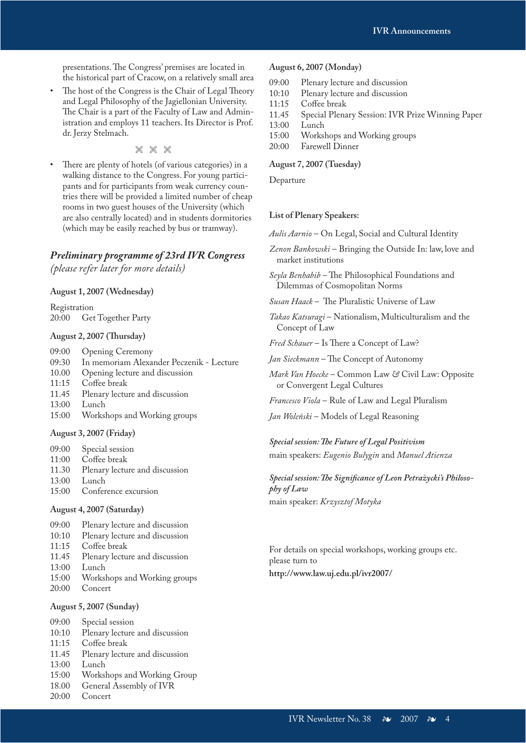presentations. The Congress' premises are located in the historical part of Cracow, on a relatively small area

The host of the Congress is the Chair of Legal Theory and Legal Philosophy of the Jagiellonian University. The Chair is a part of the Faculty of Law and Administration and employs 11 teachers. Its Director is Prof. dr. Jerzy Stelmach.

 $X$   $X$   $X$ 

There are plenty of hotels (of various categories) in a walking distance to the Congress. For young participants and for participants from weak currency countries there will be provided a limited number of cheap rooms in two guest houses of the University (which are also centrally located) and in students dormitories (which may be easily reached by bus or tramway).

# *Preliminary programme of 23rd IVR Congress*

*(please refer later for more details)*

#### **August 1, 2007 (Wednesday)**

Registration<br>20:00 Get Get Together Party

#### **August 2, 2007 (Thursday)**

| 09:00 | <b>Opening Ceremony</b>                          |
|-------|--------------------------------------------------|
| 09:30 | In memoriam Alexander Peczenik - Lecture         |
| 10.00 | Opening lecture and discussion                   |
| 11:15 | Coffee break                                     |
| 11.45 | Plenary lecture and discussion                   |
| 13:00 | Lunch                                            |
| 15:00 | Workshops and Working groups                     |
|       | $\sim$ $\sim$ $\sim$ $\sim$ $\sim$ $\sim$ $\sim$ |

#### **August 3, 2007 (Friday)**

| 09:00 Special session                |
|--------------------------------------|
| 11:00 Coffee break                   |
| 11.30 Plenary lecture and discussion |
| 13:00 Lunch                          |
| 15:00 Conference excursion           |
|                                      |

#### **August 4, 2007 (Saturday)**

- 09:00 Plenary lecture and discussion<br>10:10 Plenary lecture and discussion
- 10:10 Plenary lecture and discussion<br>11:15 Coffee break
- 11:15 Coffee break<br>11.45 Plenary lectu
- 11.45 Plenary lecture and discussion<br>13:00 Lunch
- 13:00 Lunch<br>15:00 Works
- Workshops and Working groups
- 20:00 Concert

#### **August 5, 2007 (Sunday)**

09:00 Special session<br>10:10 Plenary lecture

- 10:10 Plenary lecture and discussion<br>11:15 Coffee break
- 11:15 Coffee break<br>11.45 Plenary lectu
- 11.45 Plenary lecture and discussion<br>13:00 Lunch
- 
- 13:00 Lunch<br>15:00 Worksl 15:00 Workshops and Working Group<br>18.00 General Assembly of IVR
- 18.00 General Assembly of IVR<br>20:00 Concert
- **Concert**

#### **August 6, 2007 (Monday)**

- 09:00 Plenary lecture and discussion<br>10:10 Plenary lecture and discussion
- 10:10 Plenary lecture and discussion<br>11:15 Coffee break
- 11:15 Coffee break<br>11.45 Special Plena
- 11.45 Special Plenary Session: IVR Prize Winning Paper
- 13:00 Lunch<br>15:00 Works
- 15:00 Workshops and Working groups<br>20:00 Farewell Dinner
- Farewell Dinner

#### **August 7, 2007 (Tuesday)**

Departure

#### **List of Plenary Speakers:**

*Aulis Aarnio* – On Legal, Social and Cultural Identity

*Zenon Bankowski* – Bringing the Outside In: law, love and market institutions

*Seyla Benhabib* – The Philosophical Foundations and Dilemmas of Cosmopolitan Norms

*Susan Haack* – The Pluralistic Universe of Law

- *Takao Katsuragi*  Nationalism, Multiculturalism and the Concept of Law
- *Fred Schauer* Is There a Concept of Law?
- *Jan Sieckmann* The Concept of Autonomy
- *Mark Van Hoecke* Common Law *&* Civil Law: Opposite or Convergent Legal Cultures
- *Francesco Viola* Rule of Law and Legal Pluralism

*Jan Woleński* – Models of Legal Reasoning

*Special session: The Future of Legal Positivism* main speakers: *Eugenio Bulygin* and *Manuel Atienza*

*Special session: The Significance of Leon Petrażycki's Philosophy of Law* main speaker: *Krzysztof Motyka*

For details on special workshops, working groups etc. please turn to **http://www.law.uj.edu.pl/ivr2007/**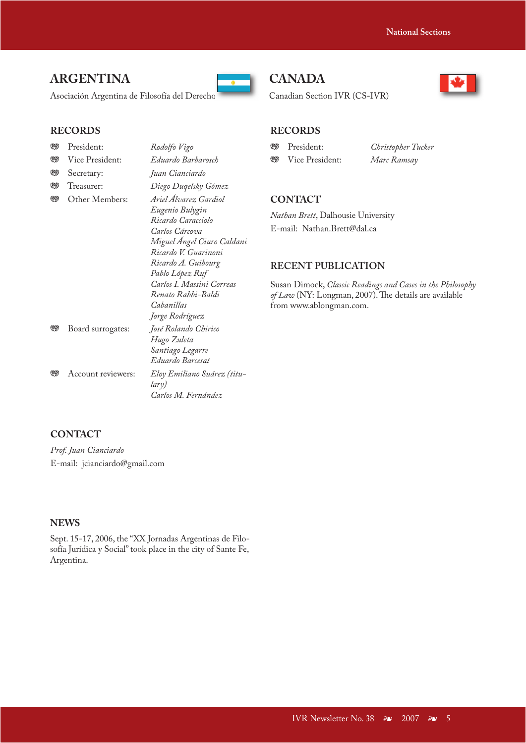# **ARGENTINA**

Asociación Argentina de Filosofía del Derecho

# **RECORDS**

| 98    | President:         | Rodolfo Vigo                |
|-------|--------------------|-----------------------------|
| ମ୍ବର  | Vice President:    | Eduardo Barbarosch          |
| ₩     | Secretary:         | Juan Cianciardo             |
| ₩     | Treasurer:         | Diego Duqelsky Gómez        |
| 98    | Other Members:     | Ariel Álvarez Gardiol       |
|       |                    | Eugenio Bulygin             |
|       |                    | Ricardo Caracciolo          |
|       |                    | Carlos Cárcova              |
|       |                    | Miguel Ángel Ciuro Caldani  |
|       |                    | Ricardo V. Guarinoni        |
|       |                    | Ricardo A. Guibourg         |
|       |                    | Pablo López Ruf             |
|       |                    | Carlos I. Massini Correas   |
|       |                    | Renato Rabbi-Baldi          |
|       |                    | Cahanillas                  |
|       |                    | Jorge Rodríguez             |
| ₩     | Board surrogates:  | José Rolando Chirico        |
|       |                    | Hugo Zuleta                 |
|       |                    | Santiago Legarre            |
|       |                    | Eduardo Barcesat            |
| ମ୍ମାଟ | Account reviewers: | Eloy Emiliano Suárez (titu- |
|       |                    | lary)                       |
|       |                    | Carlos M. Fernández         |
|       |                    |                             |

# **CANADA**

Canadian Section IVR (CS-IVR)



# **RECORDS**

| <sup>®</sup> President:    |
|----------------------------|
| <b>889</b> Vice President: |

j President: *Christopher Tucker*  $Marc$  Ramsay

# **CONTACT**

*Nathan Brett*, Dalhousie University E-mail: Nathan.Brett@dal.ca

# **RECENT PUBLICATION**

Susan Dimock, *Classic Readings and Cases in the Philosophy*  of Law (NY: Longman, 2007). The details are available from www.ablongman.com.

## **CONTACT**

*Prof. Juan Cianciardo* E-mail: jcianciardo@gmail.com

## **NEWS**

Sept. 15-17, 2006, the "XX Jornadas Argentinas de Filosofía Jurídica y Social" took place in the city of Sante Fe, Argentina.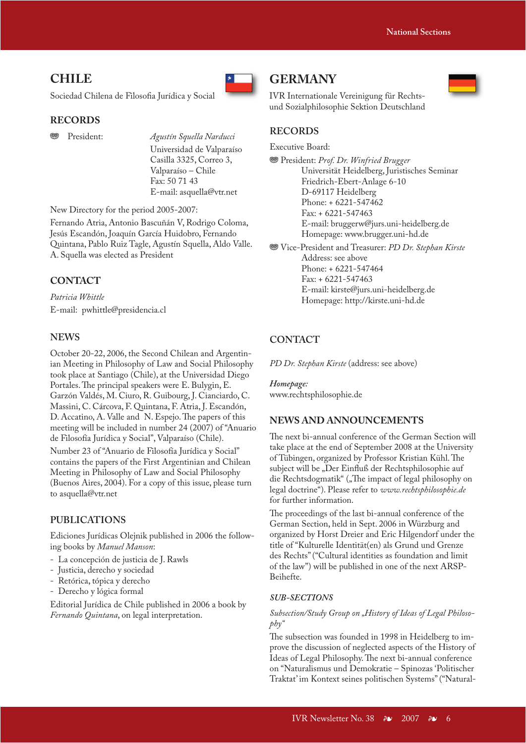# **CHILE**

Sociedad Chilena de Filosofia Jurídica y Social

#### **RECORDS**

j President: *Agustín Squella Narducci* Universidad de Valparaíso Casilla 3325, Correo 3, Valparaíso – Chile Fax: 50 71 43 E-mail: asquella@vtr.net

New Directory for the period 2005-2007:

Fernando Atria, Antonio Bascuñán V, Rodrigo Coloma, Jesús Escandón, Joaquín García Huidobro, Fernando Quintana, Pablo Ruiz Tagle, Agustín Squella, Aldo Valle. A. Squella was elected as President

## **CONTACT**

*Patricia Whittle* E-mail: pwhittle@presidencia.cl

#### **NEWS**

October 20-22, 2006, the Second Chilean and Argentinian Meeting in Philosophy of Law and Social Philosophy took place at Santiago (Chile), at the Universidad Diego Portales. The principal speakers were E. Bulygin, E. Garzón Valdés, M. Ciuro, R. Guibourg, J. Cianciardo, C. Massini, C. Cárcova, F. Quintana, F. Atria, J. Escandón, D. Accatino, A. Valle and N. Espejo. The papers of this meeting will be included in number 24 (2007) of "Anuario de Filosofía Jurídica y Social", Valparaíso (Chile). Number 23 of "Anuario de Filosofía Jurídica y Social" contains the papers of the First Argentinian and Chilean Meeting in Philosophy of Law and Social Philosophy (Buenos Aires, 2004). For a copy of this issue, please turn to asquella@vtr.net

#### **PUBLICATIONS**

Ediciones Jurídicas Olejnik published in 2006 the following books by *Manuel Manson*:

- La concepción de justicia de J. Rawls
- Justicia, derecho y sociedad
- Retórica, tópica y derecho
- Derecho y lógica formal

Editorial Jurídica de Chile published in 2006 a book by *Fernando Quintana*, on legal interpretation.

# **GERMANY**



IVR Internationale Vereinigung für Rechtsund Sozialphilosophie Sektion Deutschland

## **RECORDS**

Executive Board: j President: *Prof. Dr. Winfried Brugger* Universität Heidelberg, Juristisches Seminar Friedrich-Ebert-Anlage 6-10 D-69117 Heidelberg Phone: + 6221-547462 Fax: + 6221-547463 E-mail: bruggerw@jurs.uni-heidelberg.de Homepage: www.brugger.uni-hd.de j Vice-President and Treasurer: *PD Dr. Stephan Kirste* Address: see above Phone: + 6221-547464 Fax: + 6221-547463 E-mail: kirste@jurs.uni-heidelberg.de

Homepage: http://kirste.uni-hd.de

## **CONTACT**

*PD Dr. Stephan Kirste* (address: see above)

*Homepage:* www.rechtsphilosophie.de

#### **NEWS AND ANNOUNCEMENTS**

The next bi-annual conference of the German Section will take place at the end of September 2008 at the University of Tübingen, organized by Professor Kristian Kühl. The subject will be "Der Einfluß der Rechtsphilosophie auf die Rechtsdogmatik" ("The impact of legal philosophy on legal doctrine"). Please refer to *www.rechtsphilosophie.de* for further information.

The proceedings of the last bi-annual conference of the German Section, held in Sept. 2006 in Würzburg and organized by Horst Dreier and Eric Hilgendorf under the title of "Kulturelle Identität(en) als Grund und Grenze des Rechts" ("Cultural identities as foundation and limit of the law") will be published in one of the next ARSP-Beihefte.

#### *SUB-SECTIONS*

#### Subsection/Study Group on "History of Ideas of Legal Philoso*phy"*

The subsection was founded in 1998 in Heidelberg to improve the discussion of neglected aspects of the History of Ideas of Legal Philosophy. The next bi-annual conference on "Naturalismus und Demokratie – Spinozas 'Politischer Traktat' im Kontext seines politischen Systems" ("Natural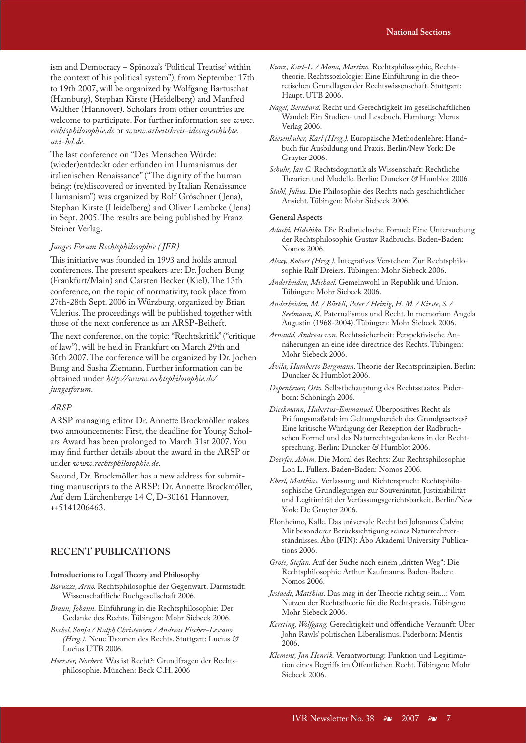ism and Democracy – Spinoza's 'Political Treatise' within the context of his political system"), from September 17th to 19th 2007, will be organized by Wolfgang Bartuschat (Hamburg), Stephan Kirste (Heidelberg) and Manfred Walther (Hannover). Scholars from other countries are welcome to participate. For further information see *www. rechtsphilosophie.de* or *www.arbeitskreis-ideengeschichte. uni-hd.de*.

The last conference on "Des Menschen Würde: (wieder)entdeckt oder erfunden im Humanismus der italienischen Renaissance" ("The dignity of the human being: (re)discovered or invented by Italian Renaissance Humanism") was organized by Rolf Gröschner ( Jena), Stephan Kirste (Heidelberg) and Oliver Lembcke ( Jena) in Sept. 2005. The results are being published by Franz Steiner Verlag.

#### *Junges Forum Rechtsphilosophie ( JFR)*

This initiative was founded in 1993 and holds annual conferences. The present speakers are: Dr. Jochen Bung (Frankfurt/Main) and Carsten Becker (Kiel). The 13th conference, on the topic of normativity, took place from 27th-28th Sept. 2006 in Würzburg, organized by Brian Valerius. The proceedings will be published together with those of the next conference as an ARSP-Beiheft.

The next conference, on the topic: "Rechtskritik" ("critique of law"), will be held in Frankfurt on March 29th and 30th 2007. The conference will be organized by Dr. Jochen Bung and Sasha Ziemann. Further information can be obtained under *http://www.rechtsphilosophie.de/ jungesforum*.

#### *ARSP*

ARSP managing editor Dr. Annette Brockmöller makes two announcements: First, the deadline for Young Scholars Award has been prolonged to March 31st 2007. You may find further details about the award in the ARSP or under *www.rechtsphilosophie.de*.

Second, Dr. Brockmöller has a new address for submitting manuscripts to the ARSP: Dr. Annette Brockmöller, Auf dem Lärchenberge 14 C, D-30161 Hannover, ++5141206463.

#### **RECENT PUBLICATIONS**

#### **Introductions to Legal Theory and Philosophy**

- *Baruzzi, Arno.* Rechtsphilosophie der Gegenwart. Darmstadt: Wissenschaftliche Buchgesellschaft 2006.
- *Braun, Johann.* Einführung in die Rechtsphilosophie: Der Gedanke des Rechts. Tübingen: Mohr Siebeck 2006.
- *Buckel, Sonja / Ralph Christensen / Andreas Fischer-Lescano (Hrsg.).* Neue Theorien des Rechts. Stuttgart: Lucius *&* Lucius UTB 2006.
- *Hoerster, Norbert.* Was ist Recht?: Grundfragen der Rechtsphilosophie. München: Beck C.H. 2006
- *Kunz, Karl-L. / Mona, Martino.* Rechtsphilosophie, Rechtstheorie, Rechtssoziologie: Eine Einführung in die theoretischen Grundlagen der Rechtswissenschaft. Stuttgart: Haupt. UTB 2006.
- *Nagel, Bernhard.* Recht und Gerechtigkeit im gesellschaftlichen Wandel: Ein Studien- und Lesebuch. Hamburg: Merus Verlag 2006.
- *Riesenhuber, Karl (Hrsg.).* Europäische Methodenlehre: Handbuch für Ausbildung und Praxis. Berlin/New York: De Gruyter 2006.
- *Schuhr, Jan C.* Rechtsdogmatik als Wissenschaft: Rechtliche Theorien und Modelle. Berlin: Duncker *&* Humblot 2006.
- *Stahl, Julius.* Die Philosophie des Rechts nach geschichtlicher Ansicht. Tübingen: Mohr Siebeck 2006.

#### **General Aspects**

- *Adachi, Hidehiko.* Die Radbruchsche Formel: Eine Untersuchung der Rechtsphilosophie Gustav Radbruchs. Baden-Baden: Nomos 2006.
- *Alexy, Robert (Hrsg.).* Integratives Verstehen: Zur Rechtsphilosophie Ralf Dreiers. Tübingen: Mohr Siebeck 2006.
- *Anderheiden, Michael.* Gemeinwohl in Republik und Union. Tübingen: Mohr Siebeck 2006.
- *Anderheiden, M. / Bürkli, Peter / Heinig, H. M. / Kirste, S. / Seelmann, K.* Paternalismus und Recht. In memoriam Angela Augustin (1968-2004). Tübingen: Mohr Siebeck 2006.
- *Arnauld, Andreas von.* Rechtssicherheit: Perspektivische Annäherungen an eine idée directrice des Rechts. Tübingen: Mohr Siebeck 2006.
- *Ávila, Humberto Bergmann.* Theorie der Rechtsprinzipien. Berlin: Duncker & Humblot 2006.
- *Depenheuer, Otto.* Selbstbehauptung des Rechtsstaates. Paderborn: Schöningh 2006.
- *Dieckmann, Hubertus-Emmanuel.* Überpositives Recht als Prüfungsmaßstab im Geltungsbereich des Grundgesetzes? Eine kritische Würdigung der Rezeption der Radbruchschen Formel und des Naturrechtsgedankens in der Rechtsprechung. Berlin: Duncker *&* Humblot 2006.
- *Doerfer, Achim.* Die Moral des Rechts: Zur Rechtsphilosophie Lon L. Fullers. Baden-Baden: Nomos 2006.
- *Eberl, Matthias.* Verfassung und Richterspruch: Rechtsphilosophische Grundlegungen zur Souveränität, Justiziabilität und Legitimität der Verfassungsgerichtsbarkeit. Berlin/New York: De Gruyter 2006.
- Elonheimo, Kalle. Das universale Recht bei Johannes Calvin: Mit besonderer Berücksichtigung seines Naturrechtverständnisses. Åbo (FIN): Åbo Akademi University Publications 2006.
- Grote, Stefan. Auf der Suche nach einem "dritten Weg": Die Rechtsphilosophie Arthur Kaufmanns. Baden-Baden: Nomos 2006.
- *Jestaedt, Matthias.* Das mag in der Theorie richtig sein...: Vom Nutzen der Rechtstheorie für die Rechtspraxis. Tübingen: Mohr Siebeck 2006.
- *Kersting, Wolfgang.* Gerechtigkeit und öffentliche Vernunft: Über John Rawls' politischen Liberalismus. Paderborn: Mentis 2006.
- *Klement, Jan Henrik.* Verantwortung: Funktion und Legitimation eines Begriffs im Öffentlichen Recht. Tübingen: Mohr Siebeck 2006.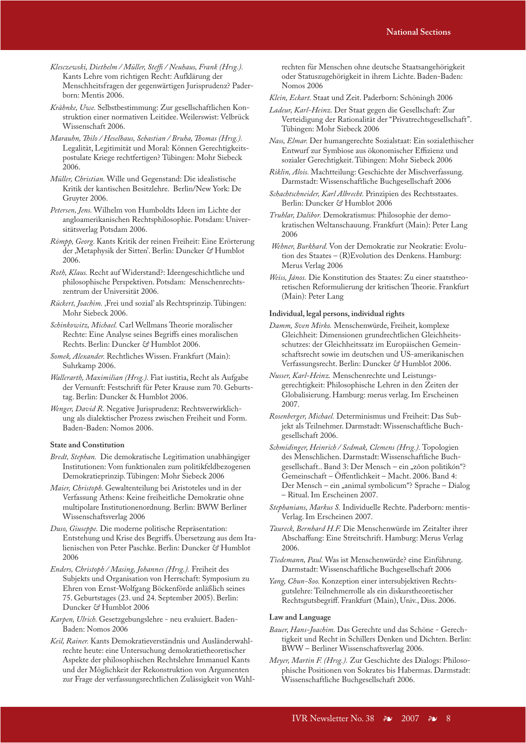*Klesczewski, Diethelm / Müller, Steffi / Neuhaus, Frank (Hrsg.).*  Kants Lehre vom richtigen Recht: Aufklärung der Menschheitsfragen der gegenwärtigen Jurisprudenz? Paderborn: Mentis 2006.

*Krähnke, Uwe.* Selbstbestimmung: Zur gesellschaftlichen Konstruktion einer normativen Leitidee. Weilerswist: Velbrück Wissenschaft 2006.

*Marauhn, Thilo / Heselhaus, Sebastian / Bruha, Thomas (Hrsg.).*  Legalität, Legitimität und Moral: Können Gerechtigkeitspostulate Kriege rechtfertigen? Tübingen: Mohr Siebeck 2006.

*Müller, Christian.* Wille und Gegenstand: Die idealistische Kritik der kantischen Besitzlehre. Berlin/New York: De Gruyter 2006.

*Petersen, Jens.* Wilhelm von Humboldts Ideen im Lichte der angloamerikanischen Rechtsphilosophie. Potsdam: Universitätsverlag Potsdam 2006.

*Römpp, Georg.* Kants Kritik der reinen Freiheit: Eine Erörterung der 'Metaphysik der Sitten'. Berlin: Duncker *&* Humblot 2006.

*Roth, Klaus.* Recht auf Widerstand?: Ideengeschichtliche und philosophische Perspektiven. Potsdam: Menschenrechtszentrum der Universität 2006.

*Rückert, Joachim.* 'Frei und sozial' als Rechtsprinzip. Tübingen: Mohr Siebeck 2006.

*Schinkowitz, Michael.* Carl Wellmans Theorie moralischer Rechte: Eine Analyse seines Begriffs eines moralischen Rechts. Berlin: Duncker *&* Humblot 2006.

*Somek, Alexander.* Rechtliches Wissen. Frankfurt (Main): Suhrkamp 2006.

*Wallerarth, Maximilian (Hrsg.).* Fiat iustitia, Recht als Aufgabe der Vernunft: Festschrift für Peter Krause zum 70. Geburtstag. Berlin: Duncker & Humblot 2006.

*Wenger, David R.* Negative Jurisprudenz: Rechtsverwirklichung als dialektischer Prozess zwischen Freiheit und Form. Baden-Baden: Nomos 2006.

#### **State and Constitution**

*Bredt, Stephan.* Die demokratische Legitimation unabhängiger Institutionen: Vom funktionalen zum politikfeldbezogenen Demokratieprinzip. Tübingen: Mohr Siebeck 2006

*Maier, Christoph.* Gewaltenteilung bei Aristoteles und in der Verfassung Athens: Keine freiheitliche Demokratie ohne multipolare Institutionenordnung. Berlin: BWW Berliner Wissenschaftsverlag 2006

*Duso, Giuseppe.* Die moderne politische Repräsentation: Entstehung und Krise des Begriffs. Übersetzung aus dem Italienischen von Peter Paschke. Berlin: Duncker *&* Humblot 2006

*Enders, Christoph / Masing, Johannes (Hrsg.).* Freiheit des Subjekts und Organisation von Herrschaft: Symposium zu Ehren von Ernst-Wolfgang Böckenförde anläßlich seines 75. Geburtstages (23. und 24. September 2005). Berlin: Duncker *&* Humblot 2006

*Karpen, Ulrich.* Gesetzgebungslehre - neu evaluiert. Baden-Baden: Nomos 2006

*Keil, Rainer.* Kants Demokratieverständnis und Ausländerwahlrechte heute: eine Untersuchung demokratietheoretischer Aspekte der philosophischen Rechtslehre Immanuel Kants und der Möglichkeit der Rekonstruktion von Argumenten zur Frage der verfassungsrechtlichen Zulässigkeit von Wahlrechten für Menschen ohne deutsche Staatsangehörigkeit oder Statuszugehörigkeit in ihrem Lichte. Baden-Baden: Nomos 2006

*Klein, Eckart.* Staat und Zeit. Paderborn: Schöningh 2006

*Ladeur, Karl-Heinz.* Der Staat gegen die Gesellschaft: Zur Verteidigung der Rationalität der "Privatrechtsgesellschaft". Tübingen: Mohr Siebeck 2006

*Nass, Elmar.* Der humangerechte Sozialstaat: Ein sozialethischer Entwurf zur Symbiose aus ökonomischer Effizienz und sozialer Gerechtigkeit. Tübingen: Mohr Siebeck 2006

*Riklin, Alois.* Machtteilung: Geschichte der Mischverfassung. Darmstadt: Wissenschaftliche Buchgesellschaft 2006

*Schachtschneider, Karl Albrecht.* Prinzipien des Rechtsstaates. Berlin: Duncker *&* Humblot 2006

*Truhlar, Dalibor.* Demokratismus: Philosophie der demokratischen Weltanschauung. Frankfurt (Main): Peter Lang 2006

*Wehner, Burkhard.* Von der Demokratie zur Neokratie: Evolution des Staates – (R)Evolution des Denkens. Hamburg: Merus Verlag 2006

*Weiss, János.* Die Konstitution des Staates: Zu einer staatstheoretischen Reformulierung der kritischen Theorie. Frankfurt (Main): Peter Lang

#### **Individual, legal persons, individual rights**

*Damm, Sven Mirko.* Menschenwürde, Freiheit, komplexe Gleichheit: Dimensionen grundrechtlichen Gleichheitsschutzes: der Gleichheitssatz im Europäischen Gemeinschaftsrecht sowie im deutschen und US-amerikanischen Verfassungsrecht. Berlin: Duncker *&* Humblot 2006.

*Nusser, Karl-Heinz.* Menschenrechte und Leistungsgerechtigkeit: Philosophische Lehren in den Zeiten der Globalisierung. Hamburg: merus verlag. Im Erscheinen 2007.

*Rosenberger, Michael.* Determinismus und Freiheit: Das Subjekt als Teilnehmer. Darmstadt: Wissenschaftliche Buchgesellschaft 2006.

*Schmidinger, Heinrich / Sedmak, Clemens (Hrsg.).* Topologien des Menschlichen. Darmstadt: Wissenschaftliche Buchgesellschaft.. Band 3: Der Mensch - ein "zôon politikón"? Gemeinschaft – Öffentlichkeit – Macht. 2006. Band 4: Der Mensch – ein "animal symbolicum"? Sprache – Dialog – Ritual. Im Erscheinen 2007.

*Stephanians, Markus S.* Individuelle Rechte. Paderborn: mentis-Verlag. Im Erscheinen 2007.

*Taureck, Bernhard H.F.* Die Menschenwürde im Zeitalter ihrer Abschaffung: Eine Streitschrift. Hamburg: Merus Verlag 2006.

*Tiedemann, Paul.* Was ist Menschenwürde? eine Einführung. Darmstadt: Wissenschaftliche Buchgesellschaft 2006

*Yang, Chun-Soo.* Konzeption einer intersubjektiven Rechtsgutslehre: Teilnehmerrolle als ein diskurstheoretischer Rechtsgutsbegriff. Frankfurt (Main), Univ., Diss. 2006.

#### **Law and Language**

*Bauer, Hans-Joachim.* Das Gerechte und das Schöne - Gerechtigkeit und Recht in Schillers Denken und Dichten. Berlin: BWW – Berliner Wissenschaftsverlag 2006.

*Meyer, Martin F. (Hrsg.).* Zur Geschichte des Dialogs: Philosophische Positionen von Sokrates bis Habermas. Darmstadt: Wissenschaftliche Buchgesellschaft 2006.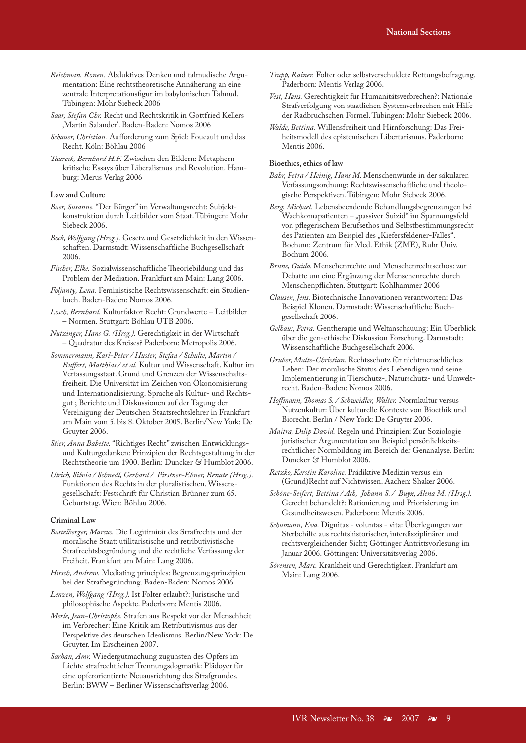- *Reichman, Ronen.* Abduktives Denken und talmudische Argumentation: Eine rechtstheoretische Annäherung an eine zentrale Interpretationsfigur im babylonischen Talmud. Tübingen: Mohr Siebeck 2006
- *Saar, Stefan Chr.* Recht und Rechtskritik in Gottfried Kellers 'Martin Salander'. Baden-Baden: Nomos 2006
- *Schauer, Christian.* Aufforderung zum Spiel: Foucault und das Recht. Köln: Böhlau 2006
- *Taureck, Bernhard H.F.* Zwischen den Bildern: Metaphernkritische Essays über Liberalismus und Revolution. Hamburg: Merus Verlag 2006

#### **Law and Culture**

- *Baer, Susanne.* "Der Bürger" im Verwaltungsrecht: Subjektkonstruktion durch Leitbilder vom Staat. Tübingen: Mohr Siebeck 2006.
- *Bock, Wolfgang (Hrsg.).* Gesetz und Gesetzlichkeit in den Wissenschaften. Darmstadt: Wissenschaftliche Buchgesellschaft 2006.
- *Fischer, Elke.* Sozialwissenschaftliche Theoriebildung und das Problem der Mediation. Frankfurt am Main: Lang 2006.
- *Foljanty, Lena.* Feministische Rechtswissenschaft: ein Studienbuch. Baden-Baden: Nomos 2006.
- *Losch, Bernhard.* Kulturfaktor Recht: Grundwerte Leitbilder – Normen. Stuttgart: Böhlau UTB 2006.
- *Nutzinger, Hans G. (Hrsg.).* Gerechtigkeit in der Wirtschaft – Quadratur des Kreises? Paderborn: Metropolis 2006.
- *Sommermann, Karl-Peter / Huster, Stefan / Schulte, Martin / Ruffert, Matthias / et al.* Kultur und Wissenschaft. Kultur im Verfassungsstaat. Grund und Grenzen der Wissenschaftsfreiheit. Die Universität im Zeichen von Ökonomisierung und Internationalisierung. Sprache als Kultur- und Rechtsgut ; Berichte und Diskussionen auf der Tagung der Vereinigung der Deutschen Staatsrechtslehrer in Frankfurt am Main vom 5. bis 8. Oktober 2005. Berlin/New York: De Gruyter 2006.
- *Stier, Anna Babette.* "Richtiges Recht" zwischen Entwicklungsund Kulturgedanken: Prinzipien der Rechtsgestaltung in der Rechtstheorie um 1900. Berlin: Duncker *&* Humblot 2006.
- *Ulrich, Silvia / Schnedl, Gerhard / Pirstner-Ebner, Renate (Hrsg.).*  Funktionen des Rechts in der pluralistischen. Wissensgesellschaft: Festschrift für Christian Brünner zum 65. Geburtstag. Wien: Böhlau 2006.

#### **Criminal Law**

- *Bastelberger, Marcus.* Die Legitimität des Strafrechts und der moralische Staat: utilitaristische und retributivistische Strafrechtsbegründung und die rechtliche Verfassung der Freiheit. Frankfurt am Main: Lang 2006.
- *Hirsch, Andrew.* Mediating principles: Begrenzungsprinzipien bei der Strafbegründung. Baden-Baden: Nomos 2006.
- *Lenzen, Wolfgang (Hrsg.).* Ist Folter erlaubt?: Juristische und philosophische Aspekte. Paderborn: Mentis 2006.
- *Merle, Jean-Christophe.* Strafen aus Respekt vor der Menschheit im Verbrecher: Eine Kritik am Retributivismus aus der Perspektive des deutschen Idealismus. Berlin/New York: De Gruyter. Im Erscheinen 2007.
- *Sarhan, Amr.* Wiedergutmachung zugunsten des Opfers im Lichte strafrechtlicher Trennungsdogmatik: Plädoyer für eine opferorientierte Neuausrichtung des Strafgrundes. Berlin: BWW – Berliner Wissenschaftsverlag 2006.
- *Trapp, Rainer.* Folter oder selbstverschuldete Rettungsbefragung. Paderborn: Mentis Verlag 2006.
- *Vest, Hans.* Gerechtigkeit für Humanitätsverbrechen?: Nationale Strafverfolgung von staatlichen Systemverbrechen mit Hilfe der Radbruchschen Formel. Tübingen: Mohr Siebeck 2006.
- *Walde, Bettina.* Willensfreiheit und Hirnforschung: Das Freiheitsmodell des epistemischen Libertarismus. Paderborn: Mentis 2006.

#### **Bioethics, ethics of law**

- *Bahr, Petra / Heinig, Hans M.* Menschenwürde in der säkularen Verfassungsordnung: Rechtswissenschaftliche und theologische Perspektiven. Tübingen: Mohr Siebeck 2006.
- *Berg, Michael.* Lebensbeendende Behandlungsbegrenzungen bei Wachkomapatienten – "passiver Suizid" im Spannungsfeld von pflegerischem Berufsethos und Selbstbestimmungsrecht des Patienten am Beispiel des "Kiefersfeldener-Falles". Bochum: Zentrum für Med. Ethik (ZME), Ruhr Univ. Bochum 2006.
- *Brune, Guido.* Menschenrechte und Menschenrechtsethos: zur Debatte um eine Ergänzung der Menschenrechte durch Menschenpflichten. Stuttgart: Kohlhammer 2006
- *Clausen, Jens.* Biotechnische Innovationen verantworten: Das Beispiel Klonen. Darmstadt: Wissenschaftliche Buchgesellschaft 2006.
- *Gelhaus, Petra.* Gentherapie und Weltanschauung: Ein Überblick über die gen-ethische Diskussion Forschung. Darmstadt: Wissenschaftliche Buchgesellschaft 2006.
- *Gruber, Malte-Christian.* Rechtsschutz für nichtmenschliches Leben: Der moralische Status des Lebendigen und seine Implementierung in Tierschutz-, Naturschutz- und Umweltrecht. Baden-Baden: Nomos 2006.
- *Hoffmann, Thomas S. / Schweidler, Walter.* Normkultur versus Nutzenkultur: Über kulturelle Kontexte von Bioethik und Biorecht. Berlin / New York: De Gruyter 2006.
- *Maitra, Dilip David.* Regeln und Prinzipien: Zur Soziologie juristischer Argumentation am Beispiel persönlichkeitsrechtlicher Normbildung im Bereich der Genanalyse. Berlin: Duncker *&* Humblot 2006.
- *Retzko, Kerstin Karoline.* Prädiktive Medizin versus ein (Grund)Recht auf Nichtwissen. Aachen: Shaker 2006.
- *Schöne-Seifert, Bettina / Ach, Johann S. / Buyx, Alena M. (Hrsg.).* Gerecht behandelt?: Rationierung und Priorisierung im Gesundheitswesen. Paderborn: Mentis 2006.
- *Schumann, Eva.* Dignitas voluntas vita: Überlegungen zur Sterbehilfe aus rechtshistorischer, interdisziplinärer und rechtsvergleichender Sicht; Göttinger Antrittsvorlesung im Januar 2006. Göttingen: Universitätsverlag 2006.
- *Sörensen, Marc.* Krankheit und Gerechtigkeit. Frankfurt am Main: Lang 2006.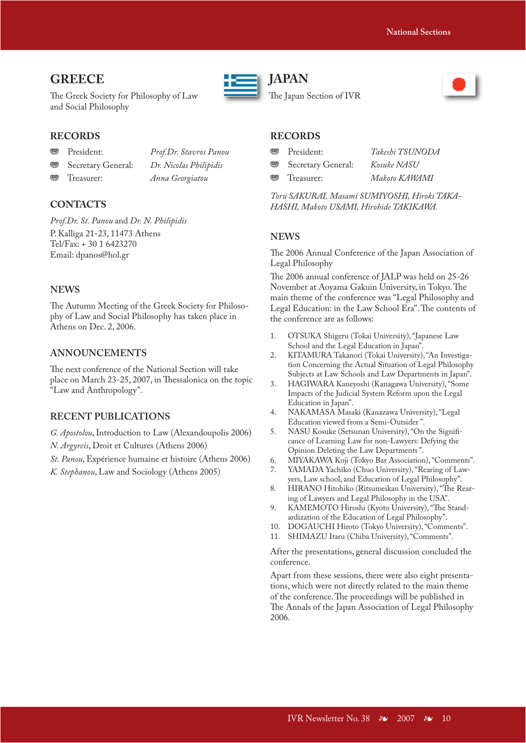# **GREECE**

The Greek Society for Philosophy of Law and Social Philosophy

#### **RECORDS**

|            | <sup>®</sup> President: | Prof.Dr. Stavros Panou |
|------------|-------------------------|------------------------|
| <b>288</b> | Secretary General:      | Dr. Nicolas Philipidis |
|            | <sup>®</sup> Treasurer: | Anna Georgiatou        |

#### **CONTACTS**

*Prof.Dr. St. Panou* and *Dr. N. Philipidis* P. Kalliga 21-23, 11473 Athens Tel/Fax: + 30 1 6423270 Email: dpanos@hol.gr

#### **NEWS**

The Autumn Meeting of the Greek Society for Philosophy of Law and Social Philosophy has taken place in Athens on Dec. 2, 2006.

## **ANNOUNCEMENTS**

The next conference of the National Section will take place on March 23-25, 2007, in Thessalonica on the topic "Law and Anthropology".

#### **RECENT PUBLICATIONS**

*G. Apostolou*, Introduction to Law (Alexandoupolis 2006)

*N. Argyreis*, Droit et Cultures (Athens 2006)

*St. Panou*, Expérience humaine et histoire (Athens 2006)

*K. Stephanou*, Law and Sociology (Athens 2005)

The Japan Section of IVR



#### **RECORDS**

**JAPAN**

| <sup>®</sup> President:         | Takeshi TSUNODA |
|---------------------------------|-----------------|
| <sup>®</sup> Secretary General: | Kosuke NASU     |
| <sup>®</sup> Treasurer:         | Makoto KAWAMI   |

*Toru SAKURAI, Masami SUMIYOSHI, Hiroki TAKA-HASHI, Makoto USAMI, Hirohide TAKIKAWA.*

#### **NEWS**

The 2006 Annual Conference of the Japan Association of Legal Philosophy

The 2006 annual conference of JALP was held on 25-26 November at Aoyama Gakuin University, in Tokyo. The main theme of the conference was "Legal Philosophy and Legal Education: in the Law School Era". The contents of the conference are as follows:

- 1. OTSUKA Shigeru (Tokai University), "Japanese Law School and the Legal Education in Japan".
- 2. KITAMURA Takanori (Tokai University), "An Investigation Concerning the Actual Situation of Legal Philosophy Subjects at Law Schools and Law Departments in Japan".
- 3. HAGIWARA Kaneyoshi (Kanagawa University), "Some Impacts of the Judicial System Reform upon the Legal Education in Japan".
- 4. NAKAMASA Masaki (Kanazawa University), "Legal Education viewed from a Semi-Outsider ".
- 5. NASU Kosuke (Setsunan University), "On the Signifi cance of Learning Law for non-Lawyers: Defying the Opinion Deleting the Law Departments ".
- 6. MIYAKAWA Koji (Tokyo Bar Association), "Comments".
- 7. YAMADA Yachiko (Chuo University), "Rearing of Lawyers, Law school, and Education of Legal Philosophy".
- 8. HIRANO Hitohiko (Ritsumeikan University), "The Rearing of Lawyers and Legal Philosophy in the USA".
- 9. KAMEMOTO Hiroshi (Kyoto University), "The Standardization of the Education of Legal Philosophy".
- 10. DOGAUCHI Hiroto (Tokyo University), "Comments".
- 11. SHIMAZU Itaru (Chiba University), "Comments".

After the presentations, general discussion concluded the conference.

Apart from these sessions, there were also eight presentations, which were not directly related to the main theme of the conference. The proceedings will be published in The Annals of the Japan Association of Legal Philosophy 2006.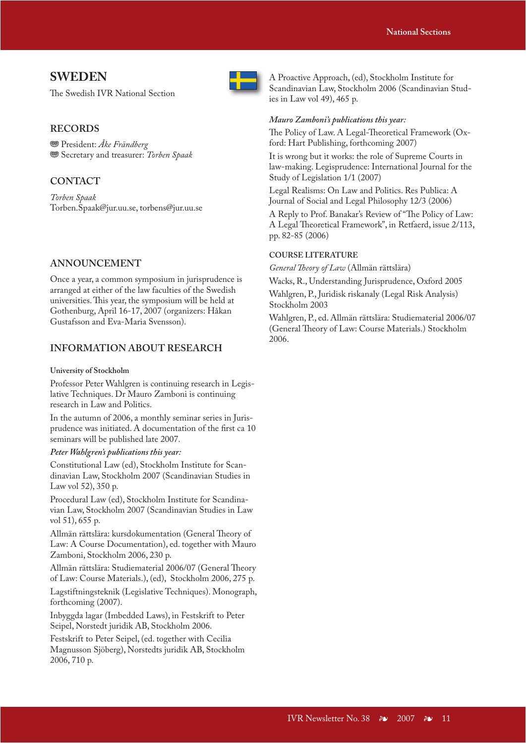# **SWEDEN**

The Swedish IVR National Section

#### **RECORDS**

**<sup>889</sup>** President: Åke Frändberg j Secretary and treasurer: *Torben Spaak*

## **CONTACT**

*Torben Spaak* Torben.Spaak@jur.uu.se, torbens@jur.uu.se

#### **ANNOUNCEMENT**

Once a year, a common symposium in jurisprudence is arranged at either of the law faculties of the Swedish universities. This year, the symposium will be held at Gothenburg, April 16-17, 2007 (organizers: Håkan Gustafsson and Eva-Maria Svensson).

#### **INFORMATION ABOUT RESEARCH**

#### **University of Stockholm**

Professor Peter Wahlgren is continuing research in Legislative Techniques. Dr Mauro Zamboni is continuing research in Law and Politics.

In the autumn of 2006, a monthly seminar series in Jurisprudence was initiated. A documentation of the first ca 10 seminars will be published late 2007.

#### *Peter Wahlgren's publications this year:*

Constitutional Law (ed), Stockholm Institute for Scandinavian Law, Stockholm 2007 (Scandinavian Studies in Law vol 52), 350 p.

Procedural Law (ed), Stockholm Institute for Scandinavian Law, Stockholm 2007 (Scandinavian Studies in Law vol 51), 655 p.

Allmän rättslära: kursdokumentation (General Theory of Law: A Course Documentation), ed. together with Mauro Zamboni, Stockholm 2006, 230 p.

Allmän rättslära: Studiematerial 2006/07 (General Theory of Law: Course Materials.), (ed), Stockholm 2006, 275 p.

Lagstiftningsteknik (Legislative Techniques). Monograph, forthcoming (2007).

Inbyggda lagar (Imbedded Laws), in Festskrift to Peter Seipel, Norstedt juridik AB, Stockholm 2006.

Festskrift to Peter Seipel, (ed. together with Cecilia Magnusson Sjöberg), Norstedts juridik AB, Stockholm 2006, 710 p.

A Proactive Approach, (ed), Stockholm Institute for Scandinavian Law, Stockholm 2006 (Scandinavian Studies in Law vol 49), 465 p.

#### *Mauro Zamboni's publications this year:*

The Policy of Law. A Legal-Theoretical Framework (Oxford: Hart Publishing, forthcoming 2007)

It is wrong but it works: the role of Supreme Courts in law-making. Legisprudence: International Journal for the Study of Legislation 1/1 (2007)

Legal Realisms: On Law and Politics. Res Publica: A Journal of Social and Legal Philosophy 12/3 (2006)

A Reply to Prof. Banakar's Review of "The Policy of Law: A Legal Theoretical Framework", in Retfaerd, issue 2/113, pp. 82-85 (2006)

#### **COURSE LITERATURE**

*General Th eory of Law* (Allmän rättslära)

Wacks, R., Understanding Jurisprudence, Oxford 2005

Wahlgren, P., Juridisk riskanaly (Legal Risk Analysis) Stockholm 2003

Wahlgren, P., ed. Allmän rättslära: Studiematerial 2006/07 (General Theory of Law: Course Materials.) Stockholm 2006.

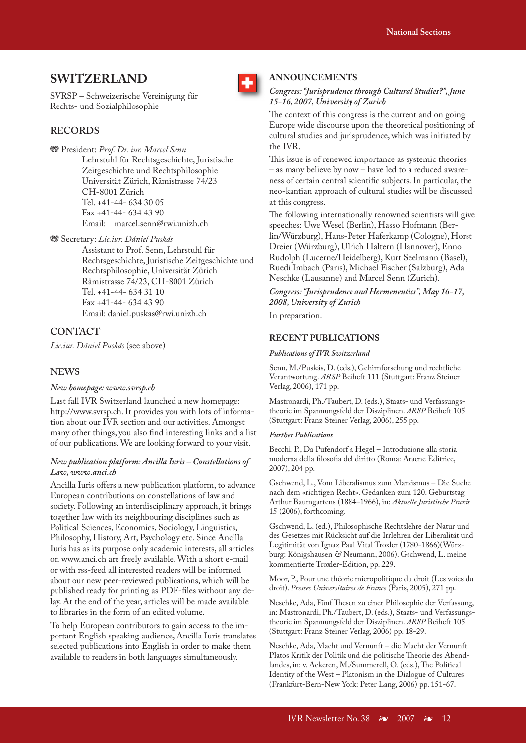# **SWITZERLAND**

SVRSP – Schweizerische Vereinigung für Rechts- und Sozialphilosophie

#### **RECORDS**

 $\circledast$  President: Prof. Dr. iur. Marcel Senn Lehrstuhl für Rechtsgeschichte, Juristische Zeitgeschichte und Rechtsphilosophie Universität Zürich, Rämistrasse 74/23 CH-8001 Zürich Tel. +41-44- 634 30 05 Fax +41-44- 634 43 90 Email: marcel.senn@rwi.unizh.ch

**<sup>889</sup>** Secretary: Lic.iur. Dániel Puskás

 Assistant to Prof. Senn, Lehrstuhl für Rechtsgeschichte, Juristische Zeitgeschichte und Rechtsphilosophie, Universität Zürich Rämistrasse 74/23, CH-8001 Zürich Tel. +41-44- 634 31 10 Fax +41-44- 634 43 90 Email: daniel.puskas@rwi.unizh.ch

## **CONTACT**

*Lic.iur. Dániel Puskás* (see above)

#### **NEWS**

#### *New homepage: www.svrsp.ch*

Last fall IVR Switzerland launched a new homepage: http://www.svrsp.ch. It provides you with lots of information about our IVR section and our activities. Amongst many other things, you also find interesting links and a list of our publications. We are looking forward to your visit.

#### *New publication platform: Ancilla Iuris – Constellations of Law, www.anci.ch*

Ancilla Iuris offers a new publication platform, to advance European contributions on constellations of law and society. Following an interdisciplinary approach, it brings together law with its neighbouring disciplines such as Political Sciences, Economics, Sociology, Linguistics, Philosophy, History, Art, Psychology etc. Since Ancilla Iuris has as its purpose only academic interests, all articles on www.anci.ch are freely available. With a short e-mail or with rss-feed all interested readers will be informed about our new peer-reviewed publications, which will be published ready for printing as PDF-files without any delay. At the end of the year, articles will be made available to libraries in the form of an edited volume.

To help European contributors to gain access to the important English speaking audience, Ancilla Iuris translates selected publications into English in order to make them available to readers in both languages simultaneously.



#### **ANNOUNCEMENTS**

## *Congress: "Jurisprudence through Cultural Studies?", June 15-16, 2007, University of Zurich*

The context of this congress is the current and on going Europe wide discourse upon the theoretical positioning of cultural studies and jurisprudence, which was initiated by the IVR.

This issue is of renewed importance as systemic theories – as many believe by now – have led to a reduced awareness of certain central scientific subjects. In particular, the neo-kantian approach of cultural studies will be discussed at this congress.

The following internationally renowned scientists will give speeches: Uwe Wesel (Berlin), Hasso Hofmann (Berlin/Würz burg), Hans-Peter Haferkamp (Cologne), Horst Dreier (Würzburg), Ulrich Haltern (Hannover), Enno Rudolph (Lucerne/Heidelberg), Kurt Seelmann (Basel), Ruedi Imbach (Paris), Michael Fischer (Salzburg), Ada Neschke (Lausanne) and Marcel Senn (Zurich).

*Congress: "Jurisprudence and Hermeneutics", May 16-17, 2008, University of Zurich*

In preparation.

#### **RECENT PUBLICATIONS**

#### *Publications of IVR Switzerland*

Senn, M./Puskás, D. (eds.), Gehirnforschung und rechtliche Verantwortung. *ARSP* Beiheft 111 (Stuttgart: Franz Steiner Verlag, 2006), 171 pp.

Mastronardi, Ph./Taubert, D. (eds.), Staats- und Verfassungstheorie im Spannungsfeld der Disziplinen. *ARSP* Beiheft 105 (Stuttgart: Franz Steiner Verlag, 2006), 255 pp.

#### *Further Publications*

Becchi, P., Da Pufendorf a Hegel – Introduzione alla storia moderna della filosofia del diritto (Roma: Aracne Editrice, 2007), 204 pp.

Gschwend, L., Vom Liberalismus zum Marxismus – Die Suche nach dem «richtigen Recht». Gedanken zum 120. Geburtstag Arthur Baumgartens (1884–1966), in: *Aktuelle Juristische Praxis*  15 (2006), forthcoming.

Gschwend, L. (ed.), Philosophische Rechtslehre der Natur und des Gesetzes mit Rücksicht auf die Irrlehren der Liberalität und Legitimität von Ignaz Paul Vital Troxler (1780-1866)(Würzburg: Königshausen *&* Neumann, 2006). Gschwend, L. meine kommentierte Troxler-Edition, pp. 229.

Moor, P., Pour une théorie micropolitique du droit (Les voies du droit). *Presses Universitaires de France* (Paris, 2005), 271 pp.

Neschke, Ada, Fünf Thesen zu einer Philosophie der Verfassung, in: Mastronardi, Ph./Taubert, D. (eds.), Staats- und Verfassungstheorie im Spannungsfeld der Disziplinen. *ARSP* Beiheft 105 (Stuttgart: Franz Steiner Verlag, 2006) pp. 18-29.

Neschke, Ada, Macht und Vernunft – die Macht der Vernunft. Platos Kritik der Politik und die politische Theorie des Abendlandes, in: v. Ackeren, M./Summerell, O. (eds.), The Political Identity of the West – Platonism in the Dialogue of Cultures (Frankfurt-Bern-New York: Peter Lang, 2006) pp. 151-67.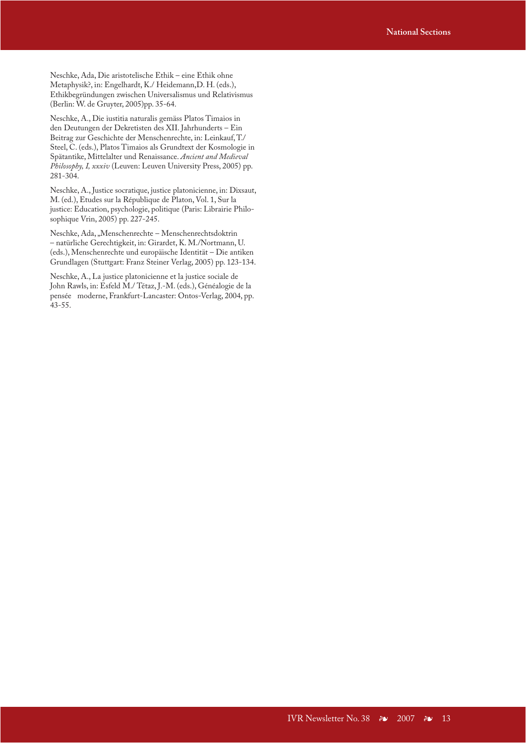Neschke, Ada, Die aristotelische Ethik – eine Ethik ohne Metaphysik?, in: Engelhardt, K./ Heidemann,D. H. (eds.), Ethikbegründungen zwischen Universalismus und Relativismus (Berlin: W. de Gruyter, 2005)pp. 35-64.

Neschke, A., Die iustitia naturalis gemäss Platos Timaios in den Deutungen der Dekretisten des XII. Jahrhunderts – Ein Beitrag zur Geschichte der Menschenrechte, in: Leinkauf, T./ Steel, C. (eds.), Platos Timaios als Grundtext der Kosmologie in Spätantike, Mittelalter und Renaissance. *Ancient and Medieval Philosophy, I, xxxiv* (Leuven: Leuven University Press, 2005) pp. 281-304.

Neschke, A., Justice socratique, justice platonicienne, in: Dixsaut, M. (ed.), Etudes sur la République de Platon, Vol. 1, Sur la justice: Education, psychologie, politique (Paris: Librairie Philosophique Vrin, 2005) pp. 227-245.

 $\operatorname{Neschke}, \operatorname{Ada}, {}_{\mathfrak{m}}\!\operatorname{Menschencehte} - \operatorname{Menschencehtsdoktrin}$ – natürliche Gerechtigkeit, in: Girardet, K. M./Nortmann, U. (eds.), Menschenrechte und europäische Identität – Die antiken Grundlagen (Stuttgart: Franz Steiner Verlag, 2005) pp. 123-134.

Neschke, A., La justice platonicienne et la justice sociale de John Rawls, in: Esfeld M./ Tétaz, J.-M. (eds.), Généalogie de la pensée moderne, Frankfurt-Lancaster: Ontos-Verlag, 2004, pp.  $43 - 55$ .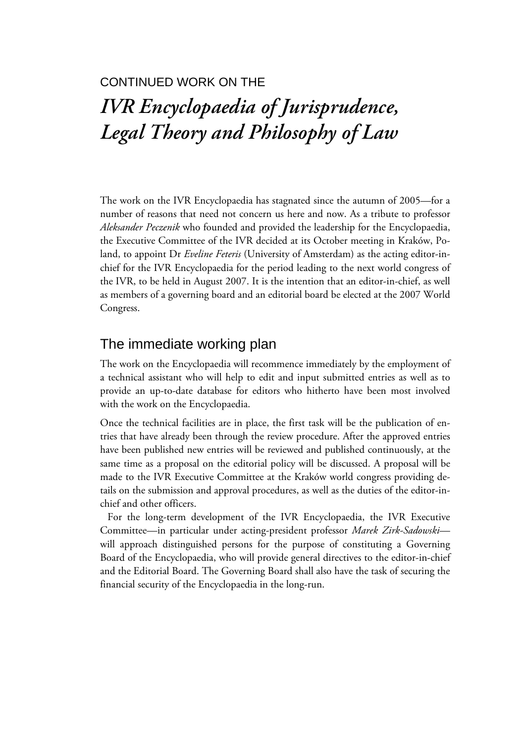# CONTINUED WORK ON THE *IVR Encyclopaedia of Jurisprudence, Legal Theory and Philosophy of Law*

The work on the IVR Encyclopaedia has stagnated since the autumn of 2005—for a number of reasons that need not concern us here and now. As a tribute to professor *Aleksander Peczenik* who founded and provided the leadership for the Encyclopaedia, the Executive Committee of the IVR decided at its October meeting in Kraków, Poland, to appoint Dr *Eveline Feteris* (University of Amsterdam) as the acting editor-inchief for the IVR Encyclopaedia for the period leading to the next world congress of the IVR, to be held in August 2007. It is the intention that an editor-in-chief, as well as members of a governing board and an editorial board be elected at the 2007 World Congress.

# The immediate working plan

The work on the Encyclopaedia will recommence immediately by the employment of a technical assistant who will help to edit and input submitted entries as well as to provide an up-to-date database for editors who hitherto have been most involved with the work on the Encyclopaedia.

Once the technical facilities are in place, the first task will be the publication of entries that have already been through the review procedure. After the approved entries have been published new entries will be reviewed and published continuously, at the same time as a proposal on the editorial policy will be discussed. A proposal will be made to the IVR Executive Committee at the Kraków world congress providing details on the submission and approval procedures, as well as the duties of the editor-inchief and other officers.

For the long-term development of the IVR Encyclopaedia, the IVR Executive Committee—in particular under acting-president professor *Marek Zirk-Sadowski* will approach distinguished persons for the purpose of constituting a Governing Board of the Encyclopaedia, who will provide general directives to the editor-in-chief and the Editorial Board. The Governing Board shall also have the task of securing the financial security of the Encyclopaedia in the long-run.